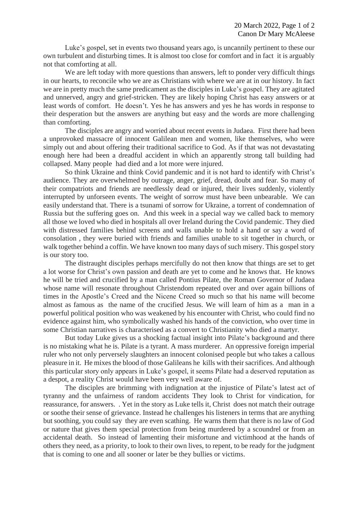Luke's gospel, set in events two thousand years ago, is uncannily pertinent to these our own turbulent and disturbing times. It is almost too close for comfort and in fact it is arguably not that comforting at all.

We are left today with more questions than answers, left to ponder very difficult things in our hearts, to reconcile who we are as Christians with where we are at in our history. In fact we are in pretty much the same predicament as the disciples in Luke's gospel. They are agitated and unnerved, angry and grief-stricken. They are likely hoping Christ has easy answers or at least words of comfort. He doesn't. Yes he has answers and yes he has words in response to their desperation but the answers are anything but easy and the words are more challenging than comforting.

The disciples are angry and worried about recent events in Judaea. First there had been a unprovoked massacre of innocent Galilean men and women, like themselves, who were simply out and about offering their traditional sacrifice to God. As if that was not devastating enough here had been a dreadful accident in which an apparently strong tall building had collapsed. Many people had died and a lot more were injured.

So think Ukraine and think Covid pandemic and it is not hard to identify with Christ's audience. They are overwhelmed by outrage, anger, grief, dread, doubt and fear. So many of their compatriots and friends are needlessly dead or injured, their lives suddenly, violently interrupted by unforseen events. The weight of sorrow must have been unbearable. We can easily understand that. There is a tsunami of sorrow for Ukraine, a torrent of condemnation of Russia but the suffering goes on. And this week in a special way we called back to memory all those we loved who died in hospitals all over Ireland during the Covid pandemic. They died with distressed families behind screens and walls unable to hold a hand or say a word of consolation , they were buried with friends and families unable to sit together in church, or walk together behind a coffin. We have known too many days of such misery. This gospel story is our story too.

The distraught disciples perhaps mercifully do not then know that things are set to get a lot worse for Christ's own passion and death are yet to come and he knows that. He knows he will be tried and crucified by a man called Pontius Pilate, the Roman Governor of Judaea whose name will resonate throughout Christendom repeated over and over again billions of times in the Apostle's Creed and the Nicene Creed so much so that his name will become almost as famous as the name of the crucified Jesus. We will learn of him as a man in a powerful political position who was weakened by his encounter with Christ, who could find no evidence against him, who symbolically washed his hands of the conviction, who over time in some Christian narratives is characterised as a convert to Christianity who died a martyr.

But today Luke gives us a shocking factual insight into Pilate's background and there is no mistaking what he is. Pilate is a tyrant. A mass murderer. An oppressive foreign imperial ruler who not only perversely slaughters an innocent colonised people but who takes a callous pleasure in it. He mixes the blood of those Galileans he kills with their sacrifices. And although this particular story only appears in Luke's gospel, it seems Pilate had a deserved reputation as a despot, a reality Christ would have been very well aware of.

The disciples are brimming with indignation at the injustice of Pilate's latest act of tyranny and the unfairness of random accidents They look to Christ for vindication, for reassurance, for answers. . Yet in the story as Luke tells it, Christ does not match their outrage or soothe their sense of grievance. Instead he challenges his listeners in terms that are anything but soothing, you could say they are even scathing. He warns them that there is no law of God or nature that gives them special protection from being murdered by a scoundrel or from an accidental death. So instead of lamenting their misfortune and victimhood at the hands of others they need, as a priority, to look to their own lives, to repent, to be ready for the judgment that is coming to one and all sooner or later be they bullies or victims.